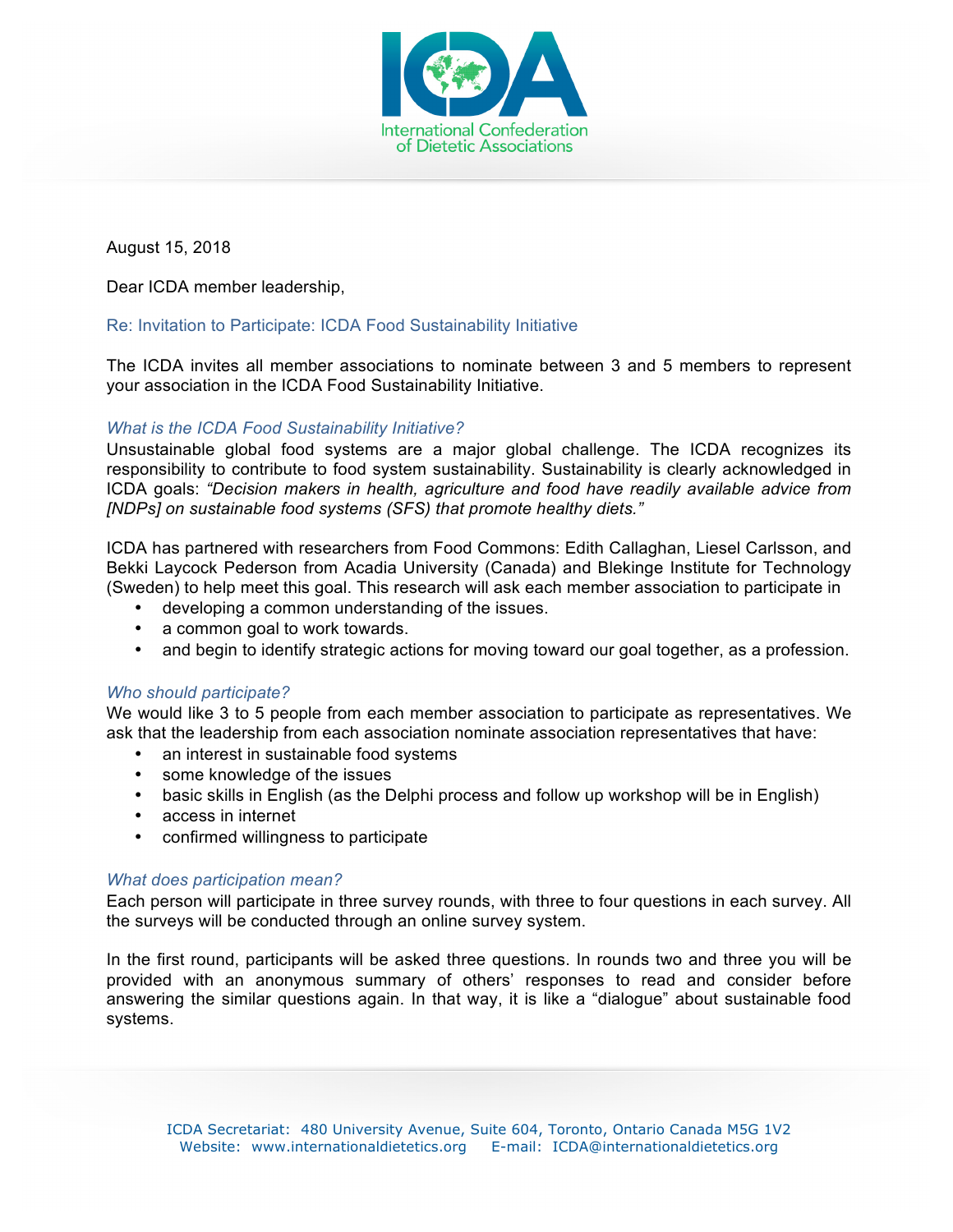

August 15, 2018

Dear ICDA member leadership,

## Re: Invitation to Participate: ICDA Food Sustainability Initiative

The ICDA invites all member associations to nominate between 3 and 5 members to represent your association in the ICDA Food Sustainability Initiative.

# *What is the ICDA Food Sustainability Initiative?*

Unsustainable global food systems are a major global challenge. The ICDA recognizes its responsibility to contribute to food system sustainability. Sustainability is clearly acknowledged in ICDA goals: *"Decision makers in health, agriculture and food have readily available advice from [NDPs] on sustainable food systems (SFS) that promote healthy diets."* 

ICDA has partnered with researchers from Food Commons: Edith Callaghan, Liesel Carlsson, and Bekki Laycock Pederson from Acadia University (Canada) and Blekinge Institute for Technology (Sweden) to help meet this goal. This research will ask each member association to participate in

- developing a common understanding of the issues.
- a common goal to work towards.
- and begin to identify strategic actions for moving toward our goal together, as a profession.

## *Who should participate?*

We would like 3 to 5 people from each member association to participate as representatives. We ask that the leadership from each association nominate association representatives that have:

- an interest in sustainable food systems
- some knowledge of the issues
- basic skills in English (as the Delphi process and follow up workshop will be in English)
- access in internet
- confirmed willingness to participate

### *What does participation mean?*

Each person will participate in three survey rounds, with three to four questions in each survey. All the surveys will be conducted through an online survey system.

In the first round, participants will be asked three questions. In rounds two and three you will be provided with an anonymous summary of others' responses to read and consider before answering the similar questions again. In that way, it is like a "dialogue" about sustainable food systems.